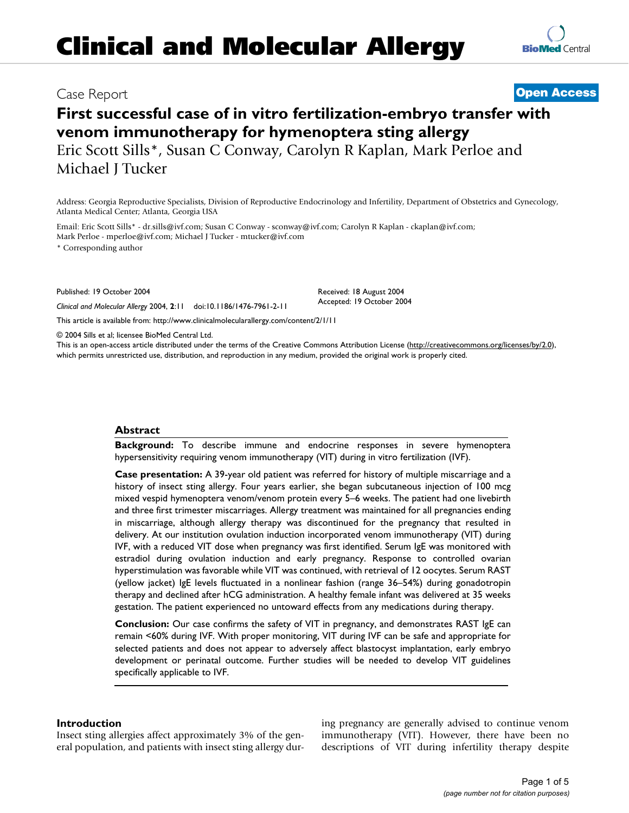# **Clinical and Molecular Allergy**



## **First successful case of in vitro fertilization-embryo transfer with venom immunotherapy for hymenoptera sting allergy** Eric Scott Sills\*, Susan C Conway, Carolyn R Kaplan, Mark Perloe and Michael J Tucker

Address: Georgia Reproductive Specialists, Division of Reproductive Endocrinology and Infertility, Department of Obstetrics and Gynecology, Atlanta Medical Center; Atlanta, Georgia USA

Email: Eric Scott Sills\* - dr.sills@ivf.com; Susan C Conway - sconway@ivf.com; Carolyn R Kaplan - ckaplan@ivf.com; Mark Perloe - mperloe@ivf.com; Michael J Tucker - mtucker@ivf.com

\* Corresponding author

Published: 19 October 2004

*Clinical and Molecular Allergy* 2004, **2**:11 doi:10.1186/1476-7961-2-11

[This article is available from: http://www.clinicalmolecularallergy.com/content/2/1/11](http://www.clinicalmolecularallergy.com/content/2/1/11)

© 2004 Sills et al; licensee BioMed Central Ltd.

This is an open-access article distributed under the terms of the Creative Commons Attribution License (<http://creativecommons.org/licenses/by/2.0>), which permits unrestricted use, distribution, and reproduction in any medium, provided the original work is properly cited.

#### **Abstract**

**Background:** To describe immune and endocrine responses in severe hymenoptera hypersensitivity requiring venom immunotherapy (VIT) during in vitro fertilization (IVF).

**Case presentation:** A 39-year old patient was referred for history of multiple miscarriage and a history of insect sting allergy. Four years earlier, she began subcutaneous injection of 100 mcg mixed vespid hymenoptera venom/venom protein every 5–6 weeks. The patient had one livebirth and three first trimester miscarriages. Allergy treatment was maintained for all pregnancies ending in miscarriage, although allergy therapy was discontinued for the pregnancy that resulted in delivery. At our institution ovulation induction incorporated venom immunotherapy (VIT) during IVF, with a reduced VIT dose when pregnancy was first identified. Serum IgE was monitored with estradiol during ovulation induction and early pregnancy. Response to controlled ovarian hyperstimulation was favorable while VIT was continued, with retrieval of 12 oocytes. Serum RAST (yellow jacket) IgE levels fluctuated in a nonlinear fashion (range 36–54%) during gonadotropin therapy and declined after hCG administration. A healthy female infant was delivered at 35 weeks gestation. The patient experienced no untoward effects from any medications during therapy.

**Conclusion:** Our case confirms the safety of VIT in pregnancy, and demonstrates RAST IgE can remain <60% during IVF. With proper monitoring, VIT during IVF can be safe and appropriate for selected patients and does not appear to adversely affect blastocyst implantation, early embryo development or perinatal outcome. Further studies will be needed to develop VIT guidelines specifically applicable to IVF.

#### **Introduction**

Insect sting allergies affect approximately 3% of the general population, and patients with insect sting allergy during pregnancy are generally advised to continue venom immunotherapy (VIT). However, there have been no descriptions of VIT during infertility therapy despite

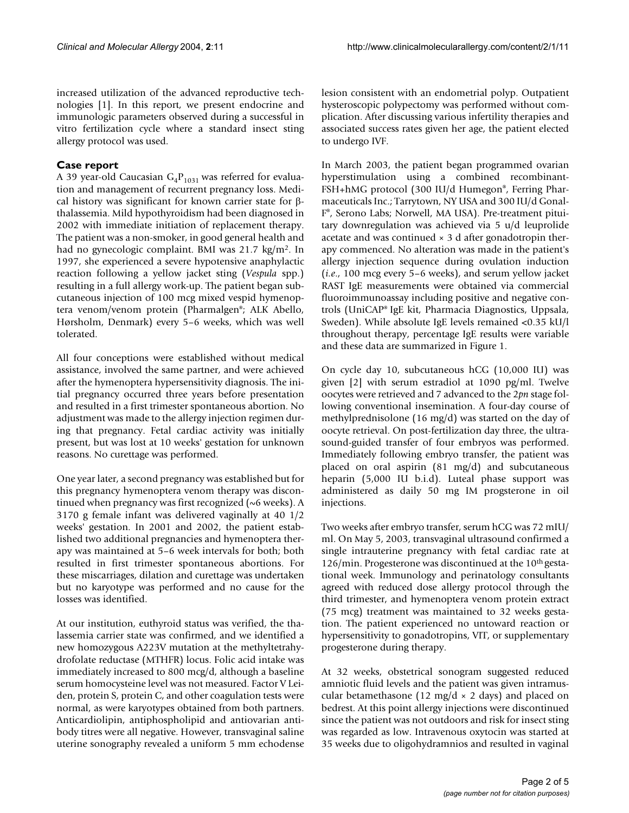increased utilization of the advanced reproductive technologies [1]. In this report, we present endocrine and immunologic parameters observed during a successful in vitro fertilization cycle where a standard insect sting allergy protocol was used.

### **Case report**

A 39 year-old Caucasian  $G_4P_{1031}$  was referred for evaluation and management of recurrent pregnancy loss. Medical history was significant for known carrier state for βthalassemia. Mild hypothyroidism had been diagnosed in 2002 with immediate initiation of replacement therapy. The patient was a non-smoker, in good general health and had no gynecologic complaint. BMI was 21.7 kg/m2. In 1997, she experienced a severe hypotensive anaphylactic reaction following a yellow jacket sting (*Vespula* spp.) resulting in a full allergy work-up. The patient began subcutaneous injection of 100 mcg mixed vespid hymenoptera venom/venom protein (Pharmalgen®; ALK Abello, Hørsholm, Denmark) every 5–6 weeks, which was well tolerated.

All four conceptions were established without medical assistance, involved the same partner, and were achieved after the hymenoptera hypersensitivity diagnosis. The initial pregnancy occurred three years before presentation and resulted in a first trimester spontaneous abortion. No adjustment was made to the allergy injection regimen during that pregnancy. Fetal cardiac activity was initially present, but was lost at 10 weeks' gestation for unknown reasons. No curettage was performed.

One year later, a second pregnancy was established but for this pregnancy hymenoptera venom therapy was discontinued when pregnancy was first recognized (~6 weeks). A 3170 g female infant was delivered vaginally at 40 1/2 weeks' gestation. In 2001 and 2002, the patient established two additional pregnancies and hymenoptera therapy was maintained at 5–6 week intervals for both; both resulted in first trimester spontaneous abortions. For these miscarriages, dilation and curettage was undertaken but no karyotype was performed and no cause for the losses was identified.

At our institution, euthyroid status was verified, the thalassemia carrier state was confirmed, and we identified a new homozygous A223V mutation at the methyltetrahydrofolate reductase (MTHFR) locus. Folic acid intake was immediately increased to 800 mcg/d, although a baseline serum homocysteine level was not measured. Factor V Leiden, protein S, protein C, and other coagulation tests were normal, as were karyotypes obtained from both partners. Anticardiolipin, antiphospholipid and antiovarian antibody titres were all negative. However, transvaginal saline uterine sonography revealed a uniform 5 mm echodense lesion consistent with an endometrial polyp. Outpatient hysteroscopic polypectomy was performed without complication. After discussing various infertility therapies and associated success rates given her age, the patient elected to undergo IVF.

In March 2003, the patient began programmed ovarian hyperstimulation using a combined recombinant-FSH+hMG protocol (300 IU/d Humegon®, Ferring Pharmaceuticals Inc.; Tarrytown, NY USA and 300 IU/d Gonal-F®, Serono Labs; Norwell, MA USA). Pre-treatment pituitary downregulation was achieved via 5 u/d leuprolide acetate and was continued  $\times$  3 d after gonadotropin therapy commenced. No alteration was made in the patient's allergy injection sequence during ovulation induction (*i.e*., 100 mcg every 5–6 weeks), and serum yellow jacket RAST IgE measurements were obtained via commercial fluoroimmunoassay including positive and negative controls (UniCAP® IgE kit, Pharmacia Diagnostics, Uppsala, Sweden). While absolute IgE levels remained <0.35 kU/l throughout therapy, percentage IgE results were variable and these data are summarized in Figure [1](#page-2-0).

On cycle day 10, subcutaneous hCG (10,000 IU) was given [2] with serum estradiol at 1090 pg/ml. Twelve oocytes were retrieved and 7 advanced to the 2*pn* stage following conventional insemination. A four-day course of methylprednisolone (16 mg/d) was started on the day of oocyte retrieval. On post-fertilization day three, the ultrasound-guided transfer of four embryos was performed. Immediately following embryo transfer, the patient was placed on oral aspirin (81 mg/d) and subcutaneous heparin (5,000 IU b.i.d). Luteal phase support was administered as daily 50 mg IM progsterone in oil injections.

Two weeks after embryo transfer, serum hCG was 72 mIU/ ml. On May 5, 2003, transvaginal ultrasound confirmed a single intrauterine pregnancy with fetal cardiac rate at 126/min. Progesterone was discontinued at the 10<sup>th</sup> gestational week. Immunology and perinatology consultants agreed with reduced dose allergy protocol through the third trimester, and hymenoptera venom protein extract (75 mcg) treatment was maintained to 32 weeks gestation. The patient experienced no untoward reaction or hypersensitivity to gonadotropins, VIT, or supplementary progesterone during therapy.

At 32 weeks, obstetrical sonogram suggested reduced amniotic fluid levels and the patient was given intramuscular betamethasone (12 mg/d  $\times$  2 days) and placed on bedrest. At this point allergy injections were discontinued since the patient was not outdoors and risk for insect sting was regarded as low. Intravenous oxytocin was started at 35 weeks due to oligohydramnios and resulted in vaginal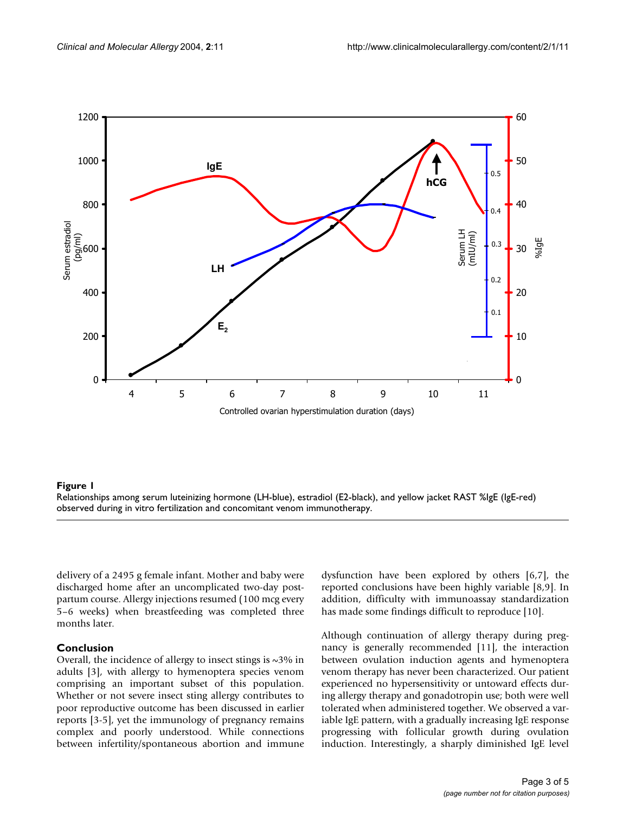<span id="page-2-0"></span>

#### observed during in vitro fertilizatio **Figure 1** Relationships among serum luteinizing hormone (LH-blue), estr n and concomitant venom immunotherapy adiol (E2-black), and yellow jacket RAST %IgE (IgE-red)

Relationships among serum luteinizing hormone (LH-blue), estradiol (E2-black), and yellow jacket RAST %IgE (IgE-red) observed during in vitro fertilization and concomitant venom immunotherapy.

delivery of a 2495 g female infant. Mother and baby were discharged home after an uncomplicated two-day postpartum course. Allergy injections resumed (100 mcg every 5–6 weeks) when breastfeeding was completed three months later.

#### **Conclusion**

Overall, the incidence of allergy to insect stings is  $\sim$ 3% in adults [3], with allergy to hymenoptera species venom comprising an important subset of this population. Whether or not severe insect sting allergy contributes to poor reproductive outcome has been discussed in earlier reports [3-5], yet the immunology of pregnancy remains complex and poorly understood. While connections between infertility/spontaneous abortion and immune dysfunction have been explored by others [6,7], the reported conclusions have been highly variable [8,9]. In addition, difficulty with immunoassay standardization has made some findings difficult to reproduce [10].

Although continuation of allergy therapy during pregnancy is generally recommended [11], the interaction between ovulation induction agents and hymenoptera venom therapy has never been characterized. Our patient experienced no hypersensitivity or untoward effects during allergy therapy and gonadotropin use; both were well tolerated when administered together. We observed a variable IgE pattern, with a gradually increasing IgE response progressing with follicular growth during ovulation induction. Interestingly, a sharply diminished IgE level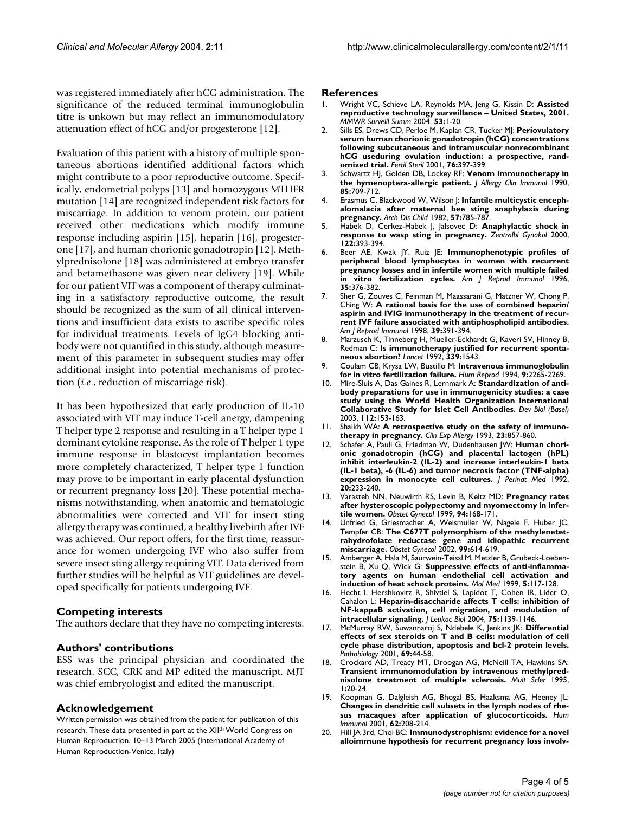was registered immediately after hCG administration. The significance of the reduced terminal immunoglobulin titre is unkown but may reflect an immunomodulatory attenuation effect of hCG and/or progesterone [12].

Evaluation of this patient with a history of multiple spontaneous abortions identified additional factors which might contribute to a poor reproductive outcome. Specifically, endometrial polyps [13] and homozygous MTHFR mutation [14] are recognized independent risk factors for miscarriage. In addition to venom protein, our patient received other medications which modify immune response including aspirin [15], heparin [16], progesterone [17], and human chorionic gonadotropin [12]. Methylprednisolone [18] was administered at embryo transfer and betamethasone was given near delivery [19]. While for our patient VIT was a component of therapy culminating in a satisfactory reproductive outcome, the result should be recognized as the sum of all clinical interventions and insufficient data exists to ascribe specific roles for individual treatments. Levels of IgG4 blocking antibody were not quantified in this study, although measurement of this parameter in subsequent studies may offer additional insight into potential mechanisms of protection (*i.e*., reduction of miscarriage risk).

It has been hypothesized that early production of IL-10 associated with VIT may induce T-cell anergy, dampening T helper type 2 response and resulting in a T helper type 1 dominant cytokine response. As the role of T helper 1 type immune response in blastocyst implantation becomes more completely characterized, T helper type 1 function may prove to be important in early placental dysfunction or recurrent pregnancy loss [20]. These potential mechanisms notwithstanding, when anatomic and hematologic abnormalities were corrected and VIT for insect sting allergy therapy was continued, a healthy livebirth after IVF was achieved. Our report offers, for the first time, reassurance for women undergoing IVF who also suffer from severe insect sting allergy requiring VIT. Data derived from further studies will be helpful as VIT guidelines are developed specifically for patients undergoing IVF.

#### **Competing interests**

The authors declare that they have no competing interests.

#### **Authors' contributions**

ESS was the principal physician and coordinated the research. SCC, CRK and MP edited the manuscript. MJT was chief embryologist and edited the manuscript.

#### **Acknowledgement**

Written permission was obtained from the patient for publication of this research. These data presented in part at the XII<sup>th</sup> World Congress on Human Reproduction, 10–13 March 2005 (International Academy of Human Reproduction-Venice, Italy)

#### **References**

- 1. Wright VC, Schieve LA, Reynolds MA, Jeng G, Kissin D: **[Assisted](http://www.ncbi.nlm.nih.gov/entrez/query.fcgi?cmd=Retrieve&db=PubMed&dopt=Abstract&list_uids=15123982) [reproductive technology surveillance – United States, 2001.](http://www.ncbi.nlm.nih.gov/entrez/query.fcgi?cmd=Retrieve&db=PubMed&dopt=Abstract&list_uids=15123982)** *MMWR Surveill Summ* 2004, **53:**1-20.
- 2. Sills ES, Drews CD, Perloe M, Kaplan CR, Tucker MJ: **[Periovulatory](http://www.ncbi.nlm.nih.gov/entrez/query.fcgi?cmd=Retrieve&db=PubMed&dopt=Abstract&list_uids=11476796) [serum human chorionic gonadotropin \(hCG\) concentrations](http://www.ncbi.nlm.nih.gov/entrez/query.fcgi?cmd=Retrieve&db=PubMed&dopt=Abstract&list_uids=11476796) following subcutaneous and intramuscular nonrecombinant hCG useduring ovulation induction: a prospective, rand[omized trial.](http://www.ncbi.nlm.nih.gov/entrez/query.fcgi?cmd=Retrieve&db=PubMed&dopt=Abstract&list_uids=11476796)** *Fertil Steril* 2001, **76:**397-399.
- 3. Schwartz HJ, Golden DB, Lockey RF: **[Venom immunotherapy in](http://www.ncbi.nlm.nih.gov/entrez/query.fcgi?cmd=Retrieve&db=PubMed&dopt=Abstract&list_uids=2324411) [the hymenoptera-allergic patient.](http://www.ncbi.nlm.nih.gov/entrez/query.fcgi?cmd=Retrieve&db=PubMed&dopt=Abstract&list_uids=2324411)** *J Allergy Clin Immunol* 1990, **85:**709-712.
- 4. Erasmus C, Blackwood W, Wilson J: **[Infantile multicystic enceph](http://www.ncbi.nlm.nih.gov/entrez/query.fcgi?cmd=Retrieve&db=PubMed&dopt=Abstract&list_uids=7138068)[alomalacia after maternal bee sting anaphylaxis during](http://www.ncbi.nlm.nih.gov/entrez/query.fcgi?cmd=Retrieve&db=PubMed&dopt=Abstract&list_uids=7138068) [pregnancy.](http://www.ncbi.nlm.nih.gov/entrez/query.fcgi?cmd=Retrieve&db=PubMed&dopt=Abstract&list_uids=7138068)** *Arch Dis Child* 1982, **57:**785-787.
- 5. Habek D, Cerkez-Habek J, Jalsovec D: **[Anaphylactic shock in](http://www.ncbi.nlm.nih.gov/entrez/query.fcgi?cmd=Retrieve&db=PubMed&dopt=Abstract&list_uids=10951712) [response to wasp sting in pregnancy.](http://www.ncbi.nlm.nih.gov/entrez/query.fcgi?cmd=Retrieve&db=PubMed&dopt=Abstract&list_uids=10951712)** *Zentralbl Gynakol* 2000, **122:**393-394.
- 6. Beer AE, Kwak JY, Ruiz JE: **[Immunophenotypic profiles of](http://www.ncbi.nlm.nih.gov/entrez/query.fcgi?cmd=Retrieve&db=PubMed&dopt=Abstract&list_uids=8739457) [peripheral blood lymphocytes in women with recurrent](http://www.ncbi.nlm.nih.gov/entrez/query.fcgi?cmd=Retrieve&db=PubMed&dopt=Abstract&list_uids=8739457) pregnancy losses and in infertile women with multiple failed [in vitro fertilization cycles.](http://www.ncbi.nlm.nih.gov/entrez/query.fcgi?cmd=Retrieve&db=PubMed&dopt=Abstract&list_uids=8739457)** *Am J Reprod Immunol* 1996, **35:**376-382.
- 7. Sher G, Zouves C, Feinman M, Maassarani G, Matzner W, Chong P, Ching W: **[A rational basis for the use of combined heparin/](http://www.ncbi.nlm.nih.gov/entrez/query.fcgi?cmd=Retrieve&db=PubMed&dopt=Abstract&list_uids=9645271) aspirin and IVIG immunotherapy in the treatment of recur[rent IVF failure associated with antiphospholipid antibodies.](http://www.ncbi.nlm.nih.gov/entrez/query.fcgi?cmd=Retrieve&db=PubMed&dopt=Abstract&list_uids=9645271)** *Am J Reprod Immunol* 1998, **39:**391-394.
- 8. Marzusch K, Tinneberg H, Mueller-Eckhardt G, Kaveri SV, Hinney B, Redman C: **[Is immunotherapy justified for recurrent sponta](http://www.ncbi.nlm.nih.gov/entrez/query.fcgi?cmd=Retrieve&db=PubMed&dopt=Abstract&list_uids=1351217)[neous abortion?](http://www.ncbi.nlm.nih.gov/entrez/query.fcgi?cmd=Retrieve&db=PubMed&dopt=Abstract&list_uids=1351217)** *Lancet* 1992, **339:**1543.
- 9. Coulam CB, Krysa LW, Bustillo M: **[Intravenous immunoglobulin](http://www.ncbi.nlm.nih.gov/entrez/query.fcgi?cmd=Retrieve&db=PubMed&dopt=Abstract&list_uids=7714143) [for in vitro fertilization failure.](http://www.ncbi.nlm.nih.gov/entrez/query.fcgi?cmd=Retrieve&db=PubMed&dopt=Abstract&list_uids=7714143)** *Hum Reprod* 1994, **9:**2265-2269.
- 10. Mire-Sluis A, Das Gaines R, Lernmark A: **[Standardization of anti](http://www.ncbi.nlm.nih.gov/entrez/query.fcgi?cmd=Retrieve&db=PubMed&dopt=Abstract&list_uids=12762514)[body preparations for use in immunogenicity studies: a case](http://www.ncbi.nlm.nih.gov/entrez/query.fcgi?cmd=Retrieve&db=PubMed&dopt=Abstract&list_uids=12762514) study using the World Health Organization International [Collaborative Study for Islet Cell Antibodies.](http://www.ncbi.nlm.nih.gov/entrez/query.fcgi?cmd=Retrieve&db=PubMed&dopt=Abstract&list_uids=12762514)** *Dev Biol (Basel)* 2003, **112:**153-163.
- 11. Shaikh WA: **[A retrospective study on the safety of immuno](http://www.ncbi.nlm.nih.gov/entrez/query.fcgi?cmd=Retrieve&db=PubMed&dopt=Abstract&list_uids=10780893)[therapy in pregnancy.](http://www.ncbi.nlm.nih.gov/entrez/query.fcgi?cmd=Retrieve&db=PubMed&dopt=Abstract&list_uids=10780893)** *Clin Exp Allergy* 1993, **23:**857-860.
- 12. Schafer A, Pauli G, Friedman W, Dudenhausen JW: **[Human chori](http://www.ncbi.nlm.nih.gov/entrez/query.fcgi?cmd=Retrieve&db=PubMed&dopt=Abstract&list_uids=1453299)onic gonadotropin (hCG) and placental lactogen (hPL) [inhibit interleukin-2 \(IL-2\) and increase interleukin-1 beta](http://www.ncbi.nlm.nih.gov/entrez/query.fcgi?cmd=Retrieve&db=PubMed&dopt=Abstract&list_uids=1453299) (IL-1 beta), -6 (IL-6) and tumor necrosis factor (TNF-alpha) [expression in monocyte cell cultures.](http://www.ncbi.nlm.nih.gov/entrez/query.fcgi?cmd=Retrieve&db=PubMed&dopt=Abstract&list_uids=1453299)** *J Perinat Med* 1992, **20:**233-240.
- 13. Varasteh NN, Neuwirth RS, Levin B, Keltz MD: **[Pregnancy rates](http://www.ncbi.nlm.nih.gov/entrez/query.fcgi?cmd=Retrieve&db=PubMed&dopt=Abstract&list_uids=10432121) [after hysteroscopic polypectomy and myomectomy in infer](http://www.ncbi.nlm.nih.gov/entrez/query.fcgi?cmd=Retrieve&db=PubMed&dopt=Abstract&list_uids=10432121)[tile women.](http://www.ncbi.nlm.nih.gov/entrez/query.fcgi?cmd=Retrieve&db=PubMed&dopt=Abstract&list_uids=10432121)** *Obstet Gynecol* 1999, **94:**168-171.
- 14. Unfried G, Griesmacher A, Weismuller W, Nagele F, Huber JC, Tempfer CB: **[The C677T polymorphism of the methylenetet](http://www.ncbi.nlm.nih.gov/entrez/query.fcgi?cmd=Retrieve&db=PubMed&dopt=Abstract&list_uids=12039122)[rahydrofolate reductase gene and idiopathic recurrent](http://www.ncbi.nlm.nih.gov/entrez/query.fcgi?cmd=Retrieve&db=PubMed&dopt=Abstract&list_uids=12039122) [miscarriage.](http://www.ncbi.nlm.nih.gov/entrez/query.fcgi?cmd=Retrieve&db=PubMed&dopt=Abstract&list_uids=12039122)** *Obstet Gynecol* 2002, **99:**614-619.
- 15. Amberger A, Hala M, Saurwein-Teissl M, Metzler B, Grubeck-Loebenstein B, Xu Q, Wick G: **[Suppressive effects of anti-inflamma](http://www.ncbi.nlm.nih.gov/entrez/query.fcgi?cmd=Retrieve&db=PubMed&dopt=Abstract&list_uids=10203577)[tory agents on human endothelial cell activation and](http://www.ncbi.nlm.nih.gov/entrez/query.fcgi?cmd=Retrieve&db=PubMed&dopt=Abstract&list_uids=10203577) [induction of heat schock proteins.](http://www.ncbi.nlm.nih.gov/entrez/query.fcgi?cmd=Retrieve&db=PubMed&dopt=Abstract&list_uids=10203577)** *Mol Med* 1999, **5:**117-128.
- 16. Hecht I, Hershkovitz R, Shivtiel S, Lapidot T, Cohen IR, Lider O, Cahalon L: **[Heparin-disaccharide affects T cells: inhibition of](http://www.ncbi.nlm.nih.gov/entrez/query.fcgi?cmd=Retrieve&db=PubMed&dopt=Abstract&list_uids=15020655) [NF-kappaB activation, cell migration, and modulation of](http://www.ncbi.nlm.nih.gov/entrez/query.fcgi?cmd=Retrieve&db=PubMed&dopt=Abstract&list_uids=15020655) [intracellular signaling.](http://www.ncbi.nlm.nih.gov/entrez/query.fcgi?cmd=Retrieve&db=PubMed&dopt=Abstract&list_uids=15020655)** *J Leukoc Biol* 2004, **75:**1139-1146.
- 17. McMurray RW, Suwannaroj S, Ndebele K, Jenkins JK: **[Differential](http://www.ncbi.nlm.nih.gov/entrez/query.fcgi?cmd=Retrieve&db=PubMed&dopt=Abstract&list_uids=11641617) [effects of sex steroids on T and B cells: modulation of cell](http://www.ncbi.nlm.nih.gov/entrez/query.fcgi?cmd=Retrieve&db=PubMed&dopt=Abstract&list_uids=11641617) cycle phase distribution, apoptosis and bcl-2 protein levels.** *Pathobiology* 2001, **69:**44-58.
- 18. Crockard AD, Treacy MT, Droogan AG, McNeill TA, Hawkins SA: **[Transient immunomodulation by intravenous methylpred](http://www.ncbi.nlm.nih.gov/entrez/query.fcgi?cmd=Retrieve&db=PubMed&dopt=Abstract&list_uids=9345465)[nisolone treatment of multiple sclerosis.](http://www.ncbi.nlm.nih.gov/entrez/query.fcgi?cmd=Retrieve&db=PubMed&dopt=Abstract&list_uids=9345465)** *Mult Scler* 1995, **1:**20-24.
- 19. Koopman G, Dalgleish AG, Bhogal BS, Haaksma AG, Heeney JL: **[Changes in dendritic cell subsets in the lymph nodes of rhe](http://www.ncbi.nlm.nih.gov/entrez/query.fcgi?cmd=Retrieve&db=PubMed&dopt=Abstract&list_uids=11250038)[sus macaques after application of glucocorticoids.](http://www.ncbi.nlm.nih.gov/entrez/query.fcgi?cmd=Retrieve&db=PubMed&dopt=Abstract&list_uids=11250038)** *Hum Immunol* 2001, **62:**208-214.
- 20. Hill JA 3rd, Choi BC: **[Immunodystrophism: evidence for a novel](http://www.ncbi.nlm.nih.gov/entrez/query.fcgi?cmd=Retrieve&db=PubMed&dopt=Abstract&list_uids=11355799) [alloimmune hypothesis for recurrent pregnancy loss involv](http://www.ncbi.nlm.nih.gov/entrez/query.fcgi?cmd=Retrieve&db=PubMed&dopt=Abstract&list_uids=11355799)-**